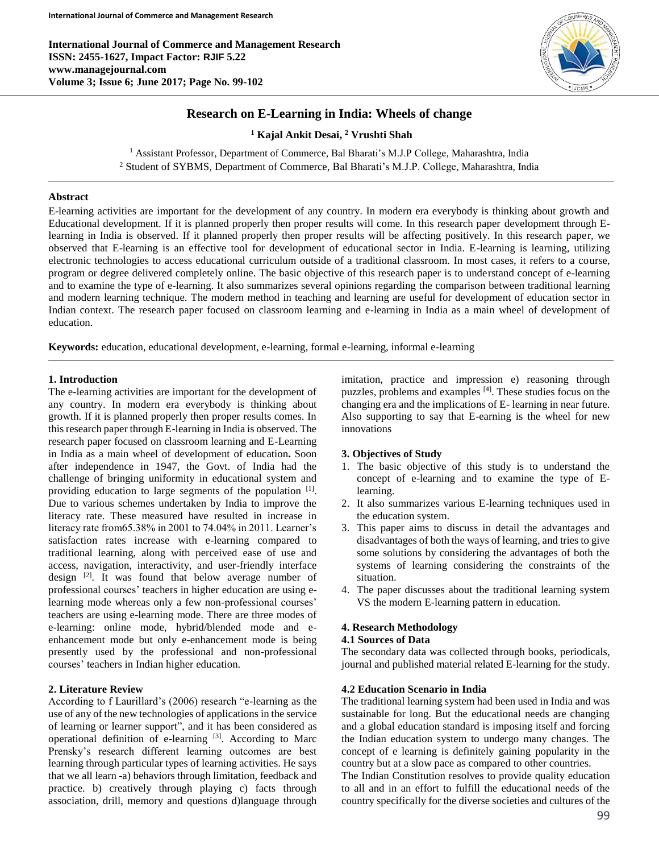**International Journal of Commerce and Management Research ISSN: 2455-1627, Impact Factor: RJIF 5.22 www.managejournal.com Volume 3; Issue 6; June 2017; Page No. 99-102**



# **Research on E-Learning in India: Wheels of change**

**<sup>1</sup> Kajal Ankit Desai, <sup>2</sup> Vrushti Shah**

<sup>1</sup> Assistant Professor, Department of Commerce, Bal Bharati's M.J.P College, Maharashtra, India <sup>2</sup> Student of SYBMS, Department of Commerce, Bal Bharati's M.J.P. College, Maharashtra, India

### **Abstract**

E-learning activities are important for the development of any country. In modern era everybody is thinking about growth and Educational development. If it is planned properly then proper results will come. In this research paper development through Elearning in India is observed. If it planned properly then proper results will be affecting positively. In this research paper, we observed that E-learning is an effective tool for development of educational sector in India. E-learning is learning, utilizing electronic technologies to access educational curriculum outside of a traditional classroom. In most cases, it refers to a course, program or degree delivered completely online. The basic objective of this research paper is to understand concept of e-learning and to examine the type of e-learning. It also summarizes several opinions regarding the comparison between traditional learning and modern learning technique. The modern method in teaching and learning are useful for development of education sector in Indian context. The research paper focused on classroom learning and e-learning in India as a main wheel of development of education.

**Keywords:** education, educational development, e-learning, formal e-learning, informal e-learning

## **1. Introduction**

The e-learning activities are important for the development of any country. In modern era everybody is thinking about growth. If it is planned properly then proper results comes. In this research paper through E-learning in India is observed. The research paper focused on classroom learning and E-Learning in India as a main wheel of development of education**.** Soon after independence in 1947, the Govt. of India had the challenge of bringing uniformity in educational system and providing education to large segments of the population <sup>[1]</sup>. Due to various schemes undertaken by India to improve the literacy rate. These measured have resulted in increase in literacy rate from65.38% in 2001 to 74.04% in 2011. Learner's satisfaction rates increase with e-learning compared to traditional learning, along with perceived ease of use and access, navigation, interactivity, and user-friendly interface design  $[2]$ . It was found that below average number of professional courses' teachers in higher education are using elearning mode whereas only a few non-professional courses' teachers are using e-learning mode. There are three modes of e-learning: online mode, hybrid/blended mode and eenhancement mode but only e-enhancement mode is being presently used by the professional and non-professional courses' teachers in Indian higher education.

## **2. Literature Review**

According to f Laurillard's (2006) research "e-learning as the use of any of the new technologies of applications in the service of learning or learner support", and it has been considered as operational definition of e-learning [3]. According to Marc Prensky's research different learning outcomes are best learning through particular types of learning activities. He says that we all learn -a) behaviors through limitation, feedback and practice. b) creatively through playing c) facts through association, drill, memory and questions d)language through imitation, practice and impression e) reasoning through puzzles, problems and examples [4]. These studies focus on the changing era and the implications of E- learning in near future. Also supporting to say that E-earning is the wheel for new innovations

### **3. Objectives of Study**

- 1. The basic objective of this study is to understand the concept of e-learning and to examine the type of Elearning.
- 2. It also summarizes various E-learning techniques used in the education system.
- 3. This paper aims to discuss in detail the advantages and disadvantages of both the ways of learning, and tries to give some solutions by considering the advantages of both the systems of learning considering the constraints of the situation.
- 4. The paper discusses about the traditional learning system VS the modern E-learning pattern in education.

### **4. Research Methodology**

#### **4.1 Sources of Data**

The secondary data was collected through books, periodicals, journal and published material related E-learning for the study.

### **4.2 Education Scenario in India**

The traditional learning system had been used in India and was sustainable for long. But the educational needs are changing and a global education standard is imposing itself and forcing the Indian education system to undergo many changes. The concept of e learning is definitely gaining popularity in the country but at a slow pace as compared to other countries.

The Indian Constitution resolves to provide quality education to all and in an effort to fulfill the educational needs of the country specifically for the diverse societies and cultures of the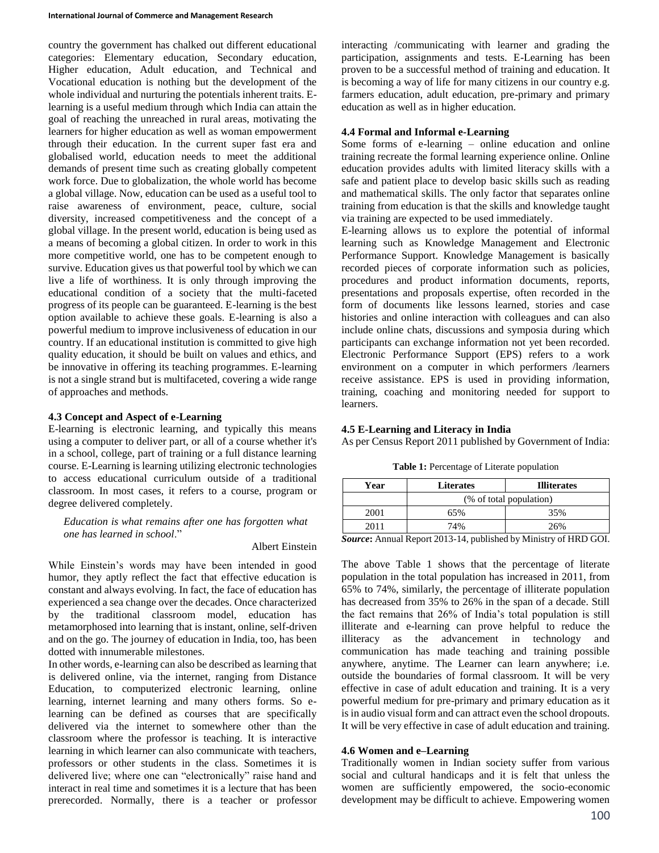country the government has chalked out different educational categories: Elementary education, Secondary education, Higher education, Adult education, and Technical and Vocational education is nothing but the development of the whole individual and nurturing the potentials inherent traits. Elearning is a useful medium through which India can attain the goal of reaching the unreached in rural areas, motivating the learners for higher education as well as woman empowerment through their education. In the current super fast era and globalised world, education needs to meet the additional demands of present time such as creating globally competent work force. Due to globalization, the whole world has become a global village. Now, education can be used as a useful tool to raise awareness of environment, peace, culture, social diversity, increased competitiveness and the concept of a global village. In the present world, education is being used as a means of becoming a global citizen. In order to work in this more competitive world, one has to be competent enough to survive. Education gives us that powerful tool by which we can live a life of worthiness. It is only through improving the educational condition of a society that the multi-faceted progress of its people can be guaranteed. E-learning is the best option available to achieve these goals. E-learning is also a powerful medium to improve inclusiveness of education in our country. If an educational institution is committed to give high quality education, it should be built on values and ethics, and be innovative in offering its teaching programmes. E-learning is not a single strand but is multifaceted, covering a wide range of approaches and methods.

## **4.3 Concept and Aspect of e-Learning**

E-learning is electronic learning, and typically this means using a computer to deliver part, or all of a course whether it's in a school, college, part of training or a full distance learning course. E-Learning is learning utilizing electronic technologies to access educational curriculum outside of a traditional classroom. In most cases, it refers to a course, program or degree delivered completely.

*Education is what remains after one has forgotten what one has learned in school*."

#### Albert Einstein

While Einstein's words may have been intended in good humor, they aptly reflect the fact that effective education is constant and always evolving. In fact, the face of education has experienced a sea change over the decades. Once characterized by the traditional classroom model, education has metamorphosed into learning that is instant, online, self-driven and on the go. The journey of education in India, too, has been dotted with innumerable milestones.

In other words, e-learning can also be described as learning that is delivered online, via the internet, ranging from Distance Education, to computerized electronic learning, online learning, internet learning and many others forms. So elearning can be defined as courses that are specifically delivered via the internet to somewhere other than the classroom where the professor is teaching. It is interactive learning in which learner can also communicate with teachers, professors or other students in the class. Sometimes it is delivered live; where one can "electronically" raise hand and interact in real time and sometimes it is a lecture that has been prerecorded. Normally, there is a teacher or professor interacting /communicating with learner and grading the participation, assignments and tests. E-Learning has been proven to be a successful method of training and education. It is becoming a way of life for many citizens in our country e.g. farmers education, adult education, pre-primary and primary education as well as in higher education.

## **4.4 Formal and Informal e-Learning**

Some forms of e-learning – online education and online training recreate the formal learning experience online. Online education provides adults with limited literacy skills with a safe and patient place to develop basic skills such as reading and mathematical skills. The only factor that separates online training from education is that the skills and knowledge taught via training are expected to be used immediately.

E-learning allows us to explore the potential of informal learning such as Knowledge Management and Electronic Performance Support. Knowledge Management is basically recorded pieces of corporate information such as policies, procedures and product information documents, reports, presentations and proposals expertise, often recorded in the form of documents like lessons learned, stories and case histories and online interaction with colleagues and can also include online chats, discussions and symposia during which participants can exchange information not yet been recorded. Electronic Performance Support (EPS) refers to a work environment on a computer in which performers /learners receive assistance. EPS is used in providing information, training, coaching and monitoring needed for support to learners.

### **4.5 E-Learning and Literacy in India**

As per Census Report 2011 published by Government of India:

**Table 1:** Percentage of Literate population

| Year | <b>Literates</b>        | <b>Illiterates</b> |
|------|-------------------------|--------------------|
|      | (% of total population) |                    |
| 2001 | 65%                     | 35%                |
| 2011 | 74%                     | 26%                |

*Source***:** Annual Report 2013-14, published by Ministry of HRD GOI.

The above Table 1 shows that the percentage of literate population in the total population has increased in 2011, from 65% to 74%, similarly, the percentage of illiterate population has decreased from 35% to 26% in the span of a decade. Still the fact remains that 26% of India's total population is still illiterate and e-learning can prove helpful to reduce the illiteracy as the advancement in technology and communication has made teaching and training possible anywhere, anytime. The Learner can learn anywhere; i.e. outside the boundaries of formal classroom. It will be very effective in case of adult education and training. It is a very powerful medium for pre-primary and primary education as it is in audio visual form and can attract even the school dropouts. It will be very effective in case of adult education and training.

## **4.6 Women and e–Learning**

Traditionally women in Indian society suffer from various social and cultural handicaps and it is felt that unless the women are sufficiently empowered, the socio-economic development may be difficult to achieve. Empowering women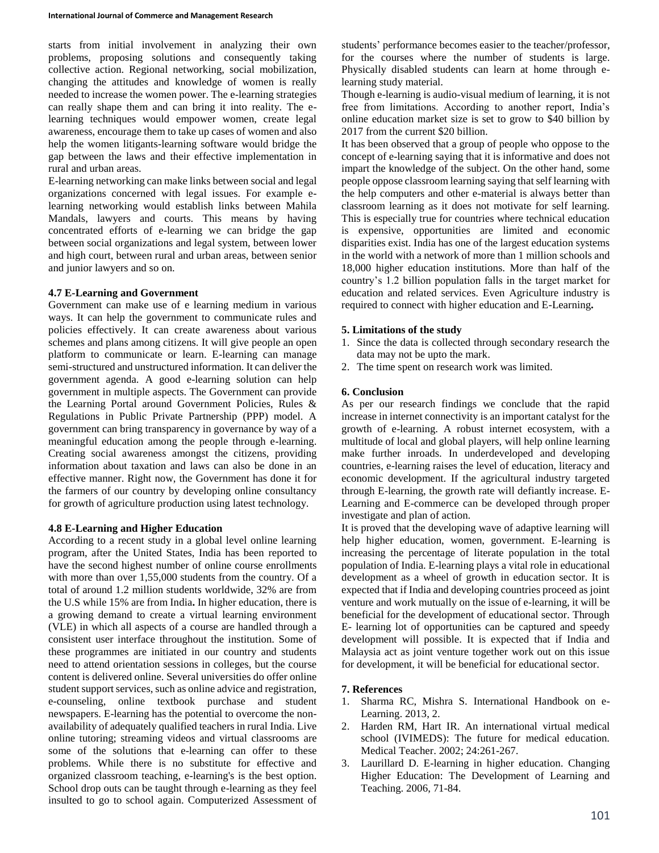starts from initial involvement in analyzing their own problems, proposing solutions and consequently taking collective action. Regional networking, social mobilization, changing the attitudes and knowledge of women is really needed to increase the women power. The e-learning strategies can really shape them and can bring it into reality. The elearning techniques would empower women, create legal awareness, encourage them to take up cases of women and also help the women litigants-learning software would bridge the gap between the laws and their effective implementation in rural and urban areas.

E-learning networking can make links between social and legal organizations concerned with legal issues. For example elearning networking would establish links between Mahila Mandals, lawyers and courts. This means by having concentrated efforts of e-learning we can bridge the gap between social organizations and legal system, between lower and high court, between rural and urban areas, between senior and junior lawyers and so on.

## **4.7 E-Learning and Government**

Government can make use of e learning medium in various ways. It can help the government to communicate rules and policies effectively. It can create awareness about various schemes and plans among citizens. It will give people an open platform to communicate or learn. E-learning can manage semi-structured and unstructured information. It can deliver the government agenda. A good e-learning solution can help government in multiple aspects. The Government can provide the Learning Portal around Government Policies, Rules & Regulations in Public Private Partnership (PPP) model. A government can bring transparency in governance by way of a meaningful education among the people through e-learning. Creating social awareness amongst the citizens, providing information about taxation and laws can also be done in an effective manner. Right now, the Government has done it for the farmers of our country by developing online consultancy for growth of agriculture production using latest technology.

# **4.8 E-Learning and Higher Education**

According to a recent study in a global level online learning program, after the United States, India has been reported to have the second highest number of online course enrollments with more than over 1,55,000 students from the country. Of a total of around 1.2 million students worldwide, 32% are from the U.S while 15% are from India**.** In higher education, there is a growing demand to create a virtual learning environment (VLE) in which all aspects of a course are handled through a consistent user interface throughout the institution. Some of these programmes are initiated in our country and students need to attend orientation sessions in colleges, but the course content is delivered online. Several universities do offer online student support services, such as online advice and registration, e-counseling, online textbook purchase and student newspapers. E-learning has the potential to overcome the nonavailability of adequately qualified teachers in rural India. Live online tutoring; streaming videos and virtual classrooms are some of the solutions that e-learning can offer to these problems. While there is no substitute for effective and organized classroom teaching, e-learning's is the best option. School drop outs can be taught through e-learning as they feel insulted to go to school again. Computerized Assessment of students' performance becomes easier to the teacher/professor, for the courses where the number of students is large. Physically disabled students can learn at home through elearning study material.

Though e-learning is audio-visual medium of learning, it is not free from limitations. According to another report, India's online education market size is set to grow to \$40 billion by 2017 from the current \$20 billion.

It has been observed that a group of people who oppose to the concept of e-learning saying that it is informative and does not impart the knowledge of the subject. On the other hand, some people oppose classroom learning saying that self learning with the help computers and other e-material is always better than classroom learning as it does not motivate for self learning. This is especially true for countries where technical education is expensive, opportunities are limited and economic disparities exist. India has one of the largest education systems in the world with a network of more than 1 million schools and 18,000 higher education institutions. More than half of the country's 1.2 billion population falls in the target market for education and related services. Even Agriculture industry is required to connect with higher education and E-Learning**.**

# **5. Limitations of the study**

- 1. Since the data is collected through secondary research the data may not be upto the mark.
- 2. The time spent on research work was limited.

## **6. Conclusion**

As per our research findings we conclude that the rapid increase in internet connectivity is an important catalyst for the growth of e-learning. A robust internet ecosystem, with a multitude of local and global players, will help online learning make further inroads. In underdeveloped and developing countries, e-learning raises the level of education, literacy and economic development. If the agricultural industry targeted through E-learning, the growth rate will defiantly increase. E-Learning and E-commerce can be developed through proper investigate and plan of action.

It is proved that the developing wave of adaptive learning will help higher education, women, government. E-learning is increasing the percentage of literate population in the total population of India. E-learning plays a vital role in educational development as a wheel of growth in education sector. It is expected that if India and developing countries proceed as joint venture and work mutually on the issue of e-learning, it will be beneficial for the development of educational sector. Through E- learning lot of opportunities can be captured and speedy development will possible. It is expected that if India and Malaysia act as joint venture together work out on this issue for development, it will be beneficial for educational sector.

# **7. References**

- 1. Sharma RC, Mishra S. International Handbook on e-Learning. 2013, 2.
- 2. Harden RM, Hart IR. An international virtual medical school (IVIMEDS): The future for medical education. Medical Teacher. 2002; 24:261-267.
- 3. Laurillard D. E-learning in higher education. Changing Higher Education: The Development of Learning and Teaching. 2006, 71-84.